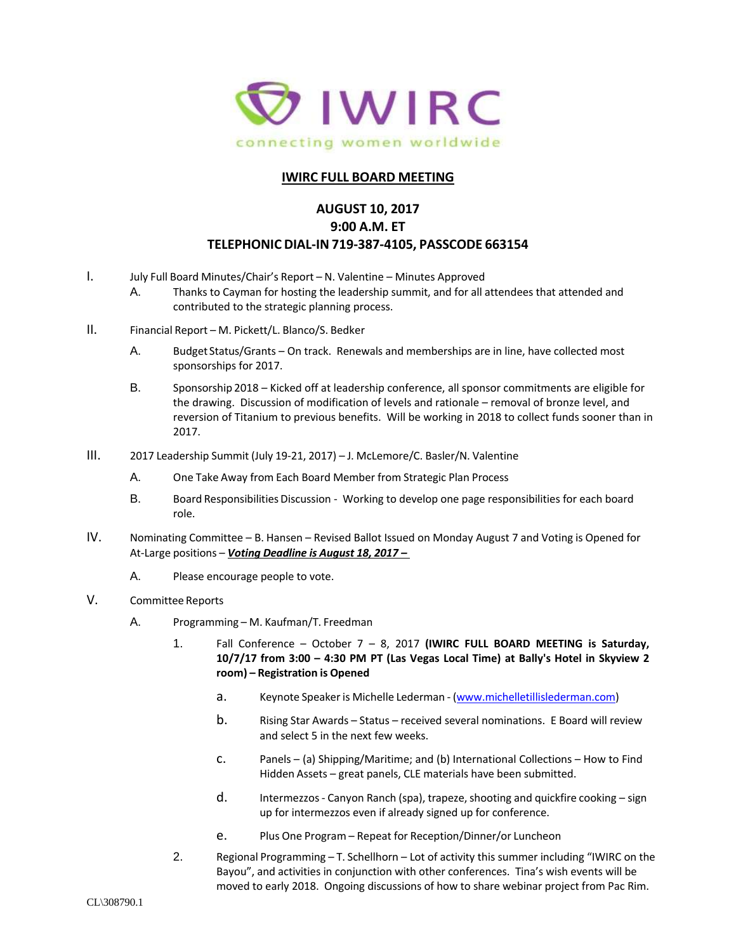

## **IWIRC FULL BOARD MEETING**

## **AUGUST 10, 2017 9:00 A.M. ET TELEPHONIC DIAL-IN 719-387-4105, PASSCODE 663154**

- I. July Full Board Minutes/Chair's Report N. Valentine Minutes Approved
	- A. Thanks to Cayman for hosting the leadership summit, and for all attendees that attended and contributed to the strategic planning process.
- II. Financial Report M. Pickett/L. Blanco/S. Bedker
	- A. Budget Status/Grants On track. Renewals and memberships are in line, have collected most sponsorships for 2017.
	- B. Sponsorship 2018 Kicked off at leadership conference, all sponsor commitments are eligible for the drawing. Discussion of modification of levels and rationale – removal of bronze level, and reversion of Titanium to previous benefits. Will be working in 2018 to collect funds sooner than in 2017.
- III. 2017 Leadership Summit (July 19-21, 2017) J. McLemore/C. Basler/N. Valentine
	- A. One Take Away from Each Board Member from Strategic Plan Process
	- B. Board Responsibilities Discussion Working to develop one page responsibilities for each board role.
- IV. Nominating Committee B. Hansen Revised Ballot Issued on Monday August 7 and Voting is Opened for At-Large positions – *Voting Deadline is August 18, 2017 –*
	- A. Please encourage people to vote.
- V. Committee Reports
	- A. Programming M. Kaufman/T. Freedman
		- 1. Fall Conference October 7 8, 2017 **(IWIRC FULL BOARD MEETING is Saturday, 10/7/17 from 3:00 – 4:30 PM PT (Las Vegas Local Time) at Bally's Hotel in Skyview 2 room) – Registration is Opened**
			- a. Keynote Speakeris Michelle Lederman [\(www.michelletillislederman.com\)](https://protect-us.mimecast.com/s/mmoXB0Tq55mZHl?domain=urldefense.proofpoint.com)
			- b. Rising Star Awards Status received several nominations. E Board will review and select 5 in the next few weeks.
			- c. Panels (a) Shipping/Maritime; and (b) International Collections How to Find Hidden Assets – great panels, CLE materials have been submitted.
			- d. Intermezzos Canyon Ranch (spa), trapeze, shooting and quickfire cooking sign up for intermezzos even if already signed up for conference.
			- e. Plus One Program Repeat for Reception/Dinner/or Luncheon
		- 2. Regional Programming T. Schellhorn Lot of activity this summer including "IWIRC on the Bayou", and activities in conjunction with other conferences. Tina's wish events will be moved to early 2018. Ongoing discussions of how to share webinar project from Pac Rim.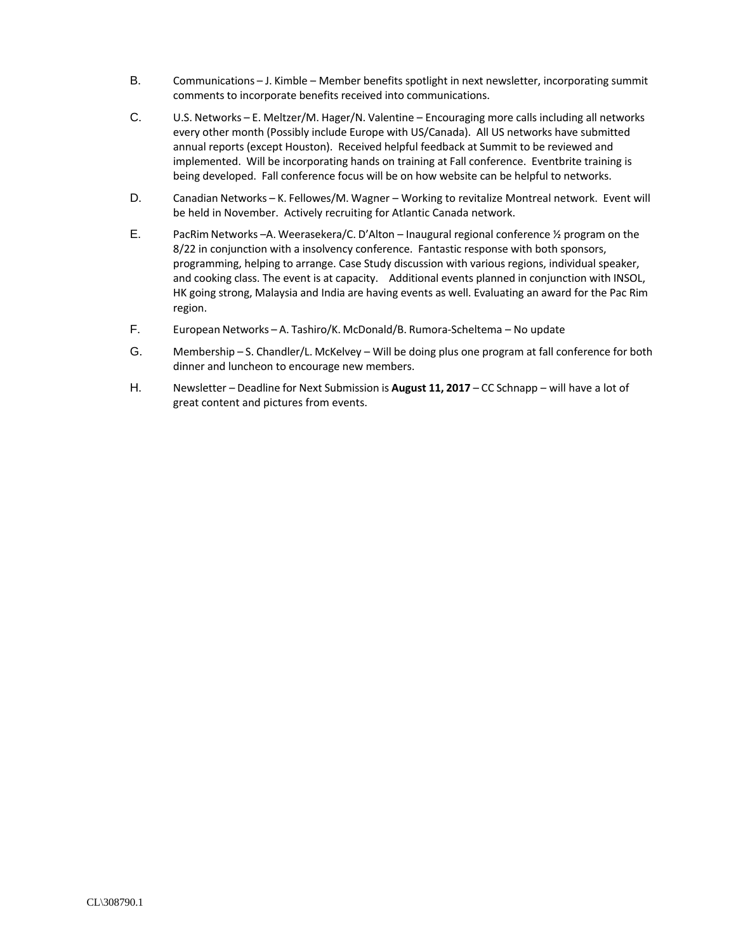- B. Communications J. Kimble Member benefits spotlight in next newsletter, incorporating summit comments to incorporate benefits received into communications.
- C. U.S. Networks E. Meltzer/M. Hager/N. Valentine Encouraging more calls including all networks every other month (Possibly include Europe with US/Canada). All US networks have submitted annual reports (except Houston). Received helpful feedback at Summit to be reviewed and implemented. Will be incorporating hands on training at Fall conference. Eventbrite training is being developed. Fall conference focus will be on how website can be helpful to networks.
- D. Canadian Networks K. Fellowes/M. Wagner Working to revitalize Montreal network. Event will be held in November. Actively recruiting for Atlantic Canada network.
- E. PacRim Networks –A. Weerasekera/C. D'Alton Inaugural regional conference ½ program on the 8/22 in conjunction with a insolvency conference. Fantastic response with both sponsors, programming, helping to arrange. Case Study discussion with various regions, individual speaker, and cooking class. The event is at capacity. Additional events planned in conjunction with INSOL, HK going strong, Malaysia and India are having events as well. Evaluating an award for the Pac Rim region.
- F. European Networks A. Tashiro/K. McDonald/B. Rumora-Scheltema No update
- G. Membership S. Chandler/L. McKelvey Will be doing plus one program at fall conference for both dinner and luncheon to encourage new members.
- H. Newsletter Deadline for Next Submission is **August 11, 2017** CC Schnapp will have a lot of great content and pictures from events.